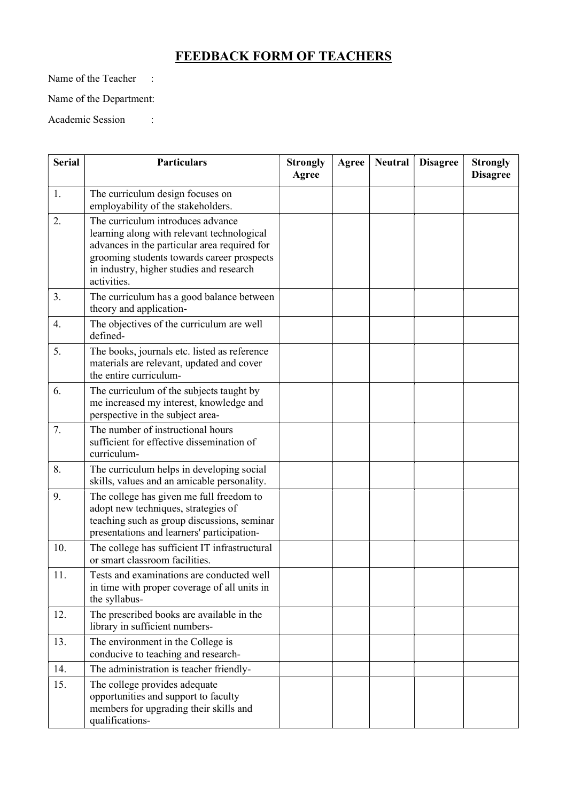## FEEDBACK FORM OF TEACHERS

Name of the Teacher :

Name of the Department:

Academic Session :

| <b>Serial</b> | <b>Particulars</b>                                                                                                                                                                                                                       | <b>Strongly</b><br>Agree | Agree | <b>Neutral</b> | <b>Disagree</b> | <b>Strongly</b><br><b>Disagree</b> |
|---------------|------------------------------------------------------------------------------------------------------------------------------------------------------------------------------------------------------------------------------------------|--------------------------|-------|----------------|-----------------|------------------------------------|
| 1.            | The curriculum design focuses on<br>employability of the stakeholders.                                                                                                                                                                   |                          |       |                |                 |                                    |
| 2.            | The curriculum introduces advance<br>learning along with relevant technological<br>advances in the particular area required for<br>grooming students towards career prospects<br>in industry, higher studies and research<br>activities. |                          |       |                |                 |                                    |
| 3.            | The curriculum has a good balance between<br>theory and application-                                                                                                                                                                     |                          |       |                |                 |                                    |
| 4.            | The objectives of the curriculum are well<br>defined-                                                                                                                                                                                    |                          |       |                |                 |                                    |
| 5.            | The books, journals etc. listed as reference<br>materials are relevant, updated and cover<br>the entire curriculum-                                                                                                                      |                          |       |                |                 |                                    |
| 6.            | The curriculum of the subjects taught by<br>me increased my interest, knowledge and<br>perspective in the subject area-                                                                                                                  |                          |       |                |                 |                                    |
| 7.            | The number of instructional hours<br>sufficient for effective dissemination of<br>curriculum-                                                                                                                                            |                          |       |                |                 |                                    |
| 8.            | The curriculum helps in developing social<br>skills, values and an amicable personality.                                                                                                                                                 |                          |       |                |                 |                                    |
| 9.            | The college has given me full freedom to<br>adopt new techniques, strategies of<br>teaching such as group discussions, seminar<br>presentations and learners' participation-                                                             |                          |       |                |                 |                                    |
| 10.           | The college has sufficient IT infrastructural<br>or smart classroom facilities.                                                                                                                                                          |                          |       |                |                 |                                    |
| 11.           | Tests and examinations are conducted well<br>in time with proper coverage of all units in<br>the syllabus-                                                                                                                               |                          |       |                |                 |                                    |
| 12.           | The prescribed books are available in the<br>library in sufficient numbers-                                                                                                                                                              |                          |       |                |                 |                                    |
| 13.           | The environment in the College is<br>conducive to teaching and research-                                                                                                                                                                 |                          |       |                |                 |                                    |
| 14.           | The administration is teacher friendly-                                                                                                                                                                                                  |                          |       |                |                 |                                    |
| 15.           | The college provides adequate<br>opportunities and support to faculty<br>members for upgrading their skills and<br>qualifications-                                                                                                       |                          |       |                |                 |                                    |